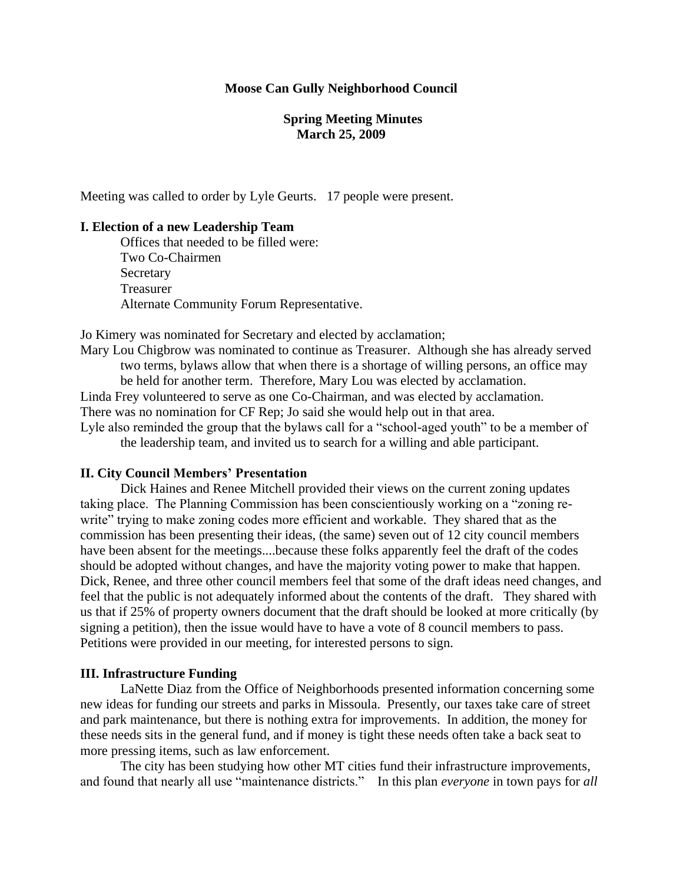### **Moose Can Gully Neighborhood Council**

## **Spring Meeting Minutes March 25, 2009**

Meeting was called to order by Lyle Geurts. 17 people were present.

## **I. Election of a new Leadership Team**

Offices that needed to be filled were: Two Co-Chairmen Secretary Treasurer Alternate Community Forum Representative.

Jo Kimery was nominated for Secretary and elected by acclamation;

Mary Lou Chigbrow was nominated to continue as Treasurer. Although she has already served two terms, bylaws allow that when there is a shortage of willing persons, an office may be held for another term. Therefore, Mary Lou was elected by acclamation.

Linda Frey volunteered to serve as one Co-Chairman, and was elected by acclamation.

There was no nomination for CF Rep; Jo said she would help out in that area.

Lyle also reminded the group that the bylaws call for a "school-aged youth" to be a member of the leadership team, and invited us to search for a willing and able participant.

#### **II. City Council Members' Presentation**

Dick Haines and Renee Mitchell provided their views on the current zoning updates taking place. The Planning Commission has been conscientiously working on a "zoning rewrite" trying to make zoning codes more efficient and workable. They shared that as the commission has been presenting their ideas, (the same) seven out of 12 city council members have been absent for the meetings....because these folks apparently feel the draft of the codes should be adopted without changes, and have the majority voting power to make that happen. Dick, Renee, and three other council members feel that some of the draft ideas need changes, and feel that the public is not adequately informed about the contents of the draft. They shared with us that if 25% of property owners document that the draft should be looked at more critically (by signing a petition), then the issue would have to have a vote of 8 council members to pass. Petitions were provided in our meeting, for interested persons to sign.

#### **III. Infrastructure Funding**

LaNette Diaz from the Office of Neighborhoods presented information concerning some new ideas for funding our streets and parks in Missoula. Presently, our taxes take care of street and park maintenance, but there is nothing extra for improvements. In addition, the money for these needs sits in the general fund, and if money is tight these needs often take a back seat to more pressing items, such as law enforcement.

The city has been studying how other MT cities fund their infrastructure improvements, and found that nearly all use "maintenance districts." In this plan *everyone* in town pays for *all*